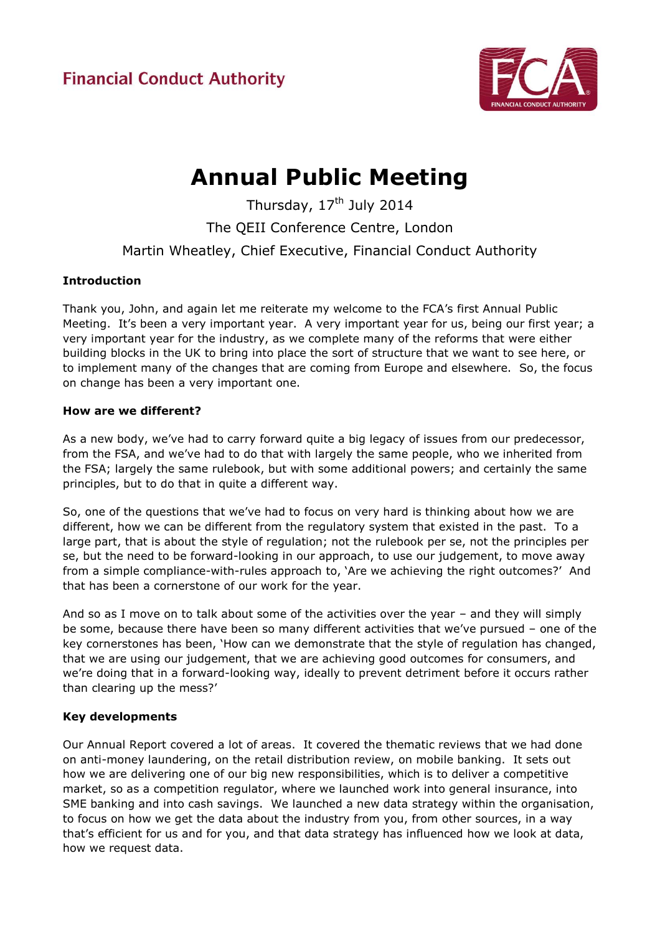

# **Annual Public Meeting**

Thursday,  $17<sup>th</sup>$  July 2014 The QEII Conference Centre, London Martin Wheatley, Chief Executive, Financial Conduct Authority

# **Introduction**

Thank you, John, and again let me reiterate my welcome to the FCA's first Annual Public Meeting. It's been a very important year. A very important year for us, being our first year; a very important year for the industry, as we complete many of the reforms that were either building blocks in the UK to bring into place the sort of structure that we want to see here, or to implement many of the changes that are coming from Europe and elsewhere. So, the focus on change has been a very important one.

# **How are we different?**

As a new body, we've had to carry forward quite a big legacy of issues from our predecessor, from the FSA, and we've had to do that with largely the same people, who we inherited from the FSA; largely the same rulebook, but with some additional powers; and certainly the same principles, but to do that in quite a different way.

So, one of the questions that we've had to focus on very hard is thinking about how we are different, how we can be different from the regulatory system that existed in the past. To a large part, that is about the style of regulation; not the rulebook per se, not the principles per se, but the need to be forward-looking in our approach, to use our judgement, to move away from a simple compliance-with-rules approach to, 'Are we achieving the right outcomes?' And that has been a cornerstone of our work for the year.

And so as I move on to talk about some of the activities over the year – and they will simply be some, because there have been so many different activities that we've pursued – one of the key cornerstones has been, 'How can we demonstrate that the style of regulation has changed, that we are using our judgement, that we are achieving good outcomes for consumers, and we're doing that in a forward-looking way, ideally to prevent detriment before it occurs rather than clearing up the mess?'

# **Key developments**

Our Annual Report covered a lot of areas. It covered the thematic reviews that we had done on anti-money laundering, on the retail distribution review, on mobile banking. It sets out how we are delivering one of our big new responsibilities, which is to deliver a competitive market, so as a competition regulator, where we launched work into general insurance, into SME banking and into cash savings. We launched a new data strategy within the organisation, to focus on how we get the data about the industry from you, from other sources, in a way that's efficient for us and for you, and that data strategy has influenced how we look at data, how we request data.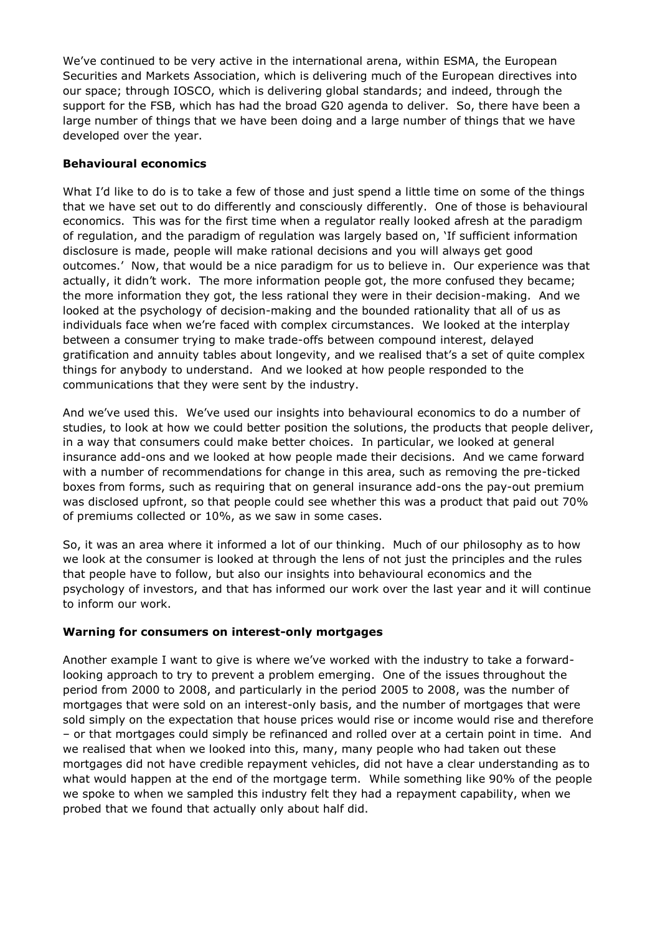We've continued to be very active in the international arena, within ESMA, the European Securities and Markets Association, which is delivering much of the European directives into our space; through IOSCO, which is delivering global standards; and indeed, through the support for the FSB, which has had the broad G20 agenda to deliver. So, there have been a large number of things that we have been doing and a large number of things that we have developed over the year.

#### **Behavioural economics**

What I'd like to do is to take a few of those and just spend a little time on some of the things that we have set out to do differently and consciously differently. One of those is behavioural economics. This was for the first time when a regulator really looked afresh at the paradigm of regulation, and the paradigm of regulation was largely based on, 'If sufficient information disclosure is made, people will make rational decisions and you will always get good outcomes.' Now, that would be a nice paradigm for us to believe in. Our experience was that actually, it didn't work. The more information people got, the more confused they became; the more information they got, the less rational they were in their decision-making. And we looked at the psychology of decision-making and the bounded rationality that all of us as individuals face when we're faced with complex circumstances. We looked at the interplay between a consumer trying to make trade-offs between compound interest, delayed gratification and annuity tables about longevity, and we realised that's a set of quite complex things for anybody to understand. And we looked at how people responded to the communications that they were sent by the industry.

And we've used this. We've used our insights into behavioural economics to do a number of studies, to look at how we could better position the solutions, the products that people deliver, in a way that consumers could make better choices. In particular, we looked at general insurance add-ons and we looked at how people made their decisions. And we came forward with a number of recommendations for change in this area, such as removing the pre-ticked boxes from forms, such as requiring that on general insurance add-ons the pay-out premium was disclosed upfront, so that people could see whether this was a product that paid out 70% of premiums collected or 10%, as we saw in some cases.

So, it was an area where it informed a lot of our thinking. Much of our philosophy as to how we look at the consumer is looked at through the lens of not just the principles and the rules that people have to follow, but also our insights into behavioural economics and the psychology of investors, and that has informed our work over the last year and it will continue to inform our work.

#### **Warning for consumers on interest-only mortgages**

Another example I want to give is where we've worked with the industry to take a forwardlooking approach to try to prevent a problem emerging. One of the issues throughout the period from 2000 to 2008, and particularly in the period 2005 to 2008, was the number of mortgages that were sold on an interest-only basis, and the number of mortgages that were sold simply on the expectation that house prices would rise or income would rise and therefore – or that mortgages could simply be refinanced and rolled over at a certain point in time. And we realised that when we looked into this, many, many people who had taken out these mortgages did not have credible repayment vehicles, did not have a clear understanding as to what would happen at the end of the mortgage term. While something like 90% of the people we spoke to when we sampled this industry felt they had a repayment capability, when we probed that we found that actually only about half did.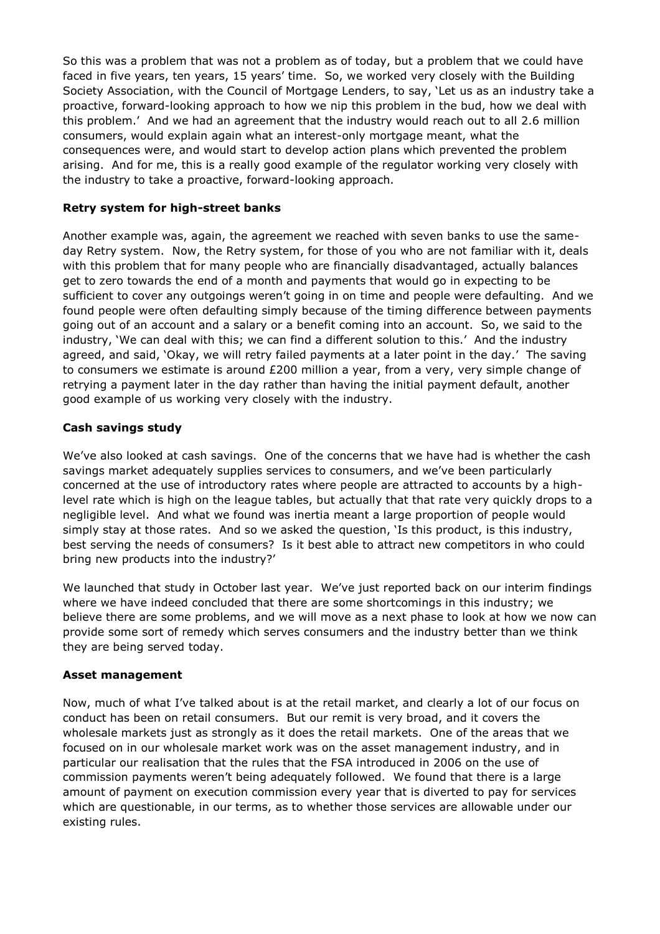So this was a problem that was not a problem as of today, but a problem that we could have faced in five years, ten years, 15 years' time. So, we worked very closely with the Building Society Association, with the Council of Mortgage Lenders, to say, 'Let us as an industry take a proactive, forward-looking approach to how we nip this problem in the bud, how we deal with this problem.' And we had an agreement that the industry would reach out to all 2.6 million consumers, would explain again what an interest-only mortgage meant, what the consequences were, and would start to develop action plans which prevented the problem arising. And for me, this is a really good example of the regulator working very closely with the industry to take a proactive, forward-looking approach.

#### **Retry system for high-street banks**

Another example was, again, the agreement we reached with seven banks to use the sameday Retry system. Now, the Retry system, for those of you who are not familiar with it, deals with this problem that for many people who are financially disadvantaged, actually balances get to zero towards the end of a month and payments that would go in expecting to be sufficient to cover any outgoings weren't going in on time and people were defaulting. And we found people were often defaulting simply because of the timing difference between payments going out of an account and a salary or a benefit coming into an account. So, we said to the industry, 'We can deal with this; we can find a different solution to this.' And the industry agreed, and said, 'Okay, we will retry failed payments at a later point in the day.' The saving to consumers we estimate is around £200 million a year, from a very, very simple change of retrying a payment later in the day rather than having the initial payment default, another good example of us working very closely with the industry.

## **Cash savings study**

We've also looked at cash savings. One of the concerns that we have had is whether the cash savings market adequately supplies services to consumers, and we've been particularly concerned at the use of introductory rates where people are attracted to accounts by a highlevel rate which is high on the league tables, but actually that that rate very quickly drops to a negligible level. And what we found was inertia meant a large proportion of people would simply stay at those rates. And so we asked the question, 'Is this product, is this industry, best serving the needs of consumers? Is it best able to attract new competitors in who could bring new products into the industry?'

We launched that study in October last year. We've just reported back on our interim findings where we have indeed concluded that there are some shortcomings in this industry; we believe there are some problems, and we will move as a next phase to look at how we now can provide some sort of remedy which serves consumers and the industry better than we think they are being served today.

#### **Asset management**

Now, much of what I've talked about is at the retail market, and clearly a lot of our focus on conduct has been on retail consumers. But our remit is very broad, and it covers the wholesale markets just as strongly as it does the retail markets. One of the areas that we focused on in our wholesale market work was on the asset management industry, and in particular our realisation that the rules that the FSA introduced in 2006 on the use of commission payments weren't being adequately followed. We found that there is a large amount of payment on execution commission every year that is diverted to pay for services which are questionable, in our terms, as to whether those services are allowable under our existing rules.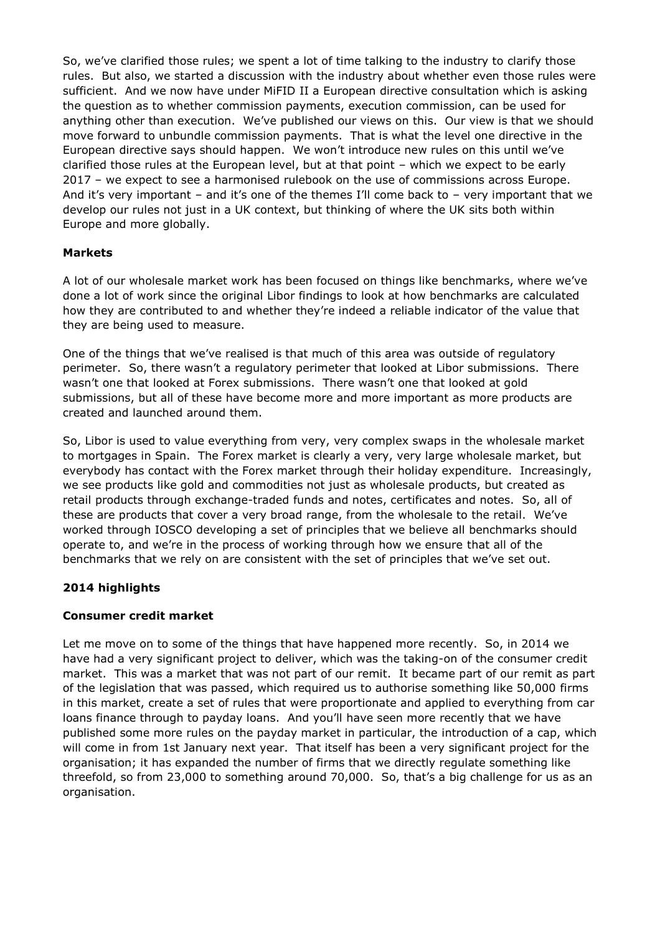So, we've clarified those rules; we spent a lot of time talking to the industry to clarify those rules. But also, we started a discussion with the industry about whether even those rules were sufficient. And we now have under MiFID II a European directive consultation which is asking the question as to whether commission payments, execution commission, can be used for anything other than execution. We've published our views on this. Our view is that we should move forward to unbundle commission payments. That is what the level one directive in the European directive says should happen. We won't introduce new rules on this until we've clarified those rules at the European level, but at that point – which we expect to be early 2017 – we expect to see a harmonised rulebook on the use of commissions across Europe. And it's very important – and it's one of the themes I'll come back to – very important that we develop our rules not just in a UK context, but thinking of where the UK sits both within Europe and more globally.

## **Markets**

A lot of our wholesale market work has been focused on things like benchmarks, where we've done a lot of work since the original Libor findings to look at how benchmarks are calculated how they are contributed to and whether they're indeed a reliable indicator of the value that they are being used to measure.

One of the things that we've realised is that much of this area was outside of regulatory perimeter. So, there wasn't a regulatory perimeter that looked at Libor submissions. There wasn't one that looked at Forex submissions. There wasn't one that looked at gold submissions, but all of these have become more and more important as more products are created and launched around them.

So, Libor is used to value everything from very, very complex swaps in the wholesale market to mortgages in Spain. The Forex market is clearly a very, very large wholesale market, but everybody has contact with the Forex market through their holiday expenditure. Increasingly, we see products like gold and commodities not just as wholesale products, but created as retail products through exchange-traded funds and notes, certificates and notes. So, all of these are products that cover a very broad range, from the wholesale to the retail. We've worked through IOSCO developing a set of principles that we believe all benchmarks should operate to, and we're in the process of working through how we ensure that all of the benchmarks that we rely on are consistent with the set of principles that we've set out.

#### **2014 highlights**

#### **Consumer credit market**

Let me move on to some of the things that have happened more recently. So, in 2014 we have had a very significant project to deliver, which was the taking-on of the consumer credit market. This was a market that was not part of our remit. It became part of our remit as part of the legislation that was passed, which required us to authorise something like 50,000 firms in this market, create a set of rules that were proportionate and applied to everything from car loans finance through to payday loans. And you'll have seen more recently that we have published some more rules on the payday market in particular, the introduction of a cap, which will come in from 1st January next year. That itself has been a very significant project for the organisation; it has expanded the number of firms that we directly regulate something like threefold, so from 23,000 to something around 70,000. So, that's a big challenge for us as an organisation.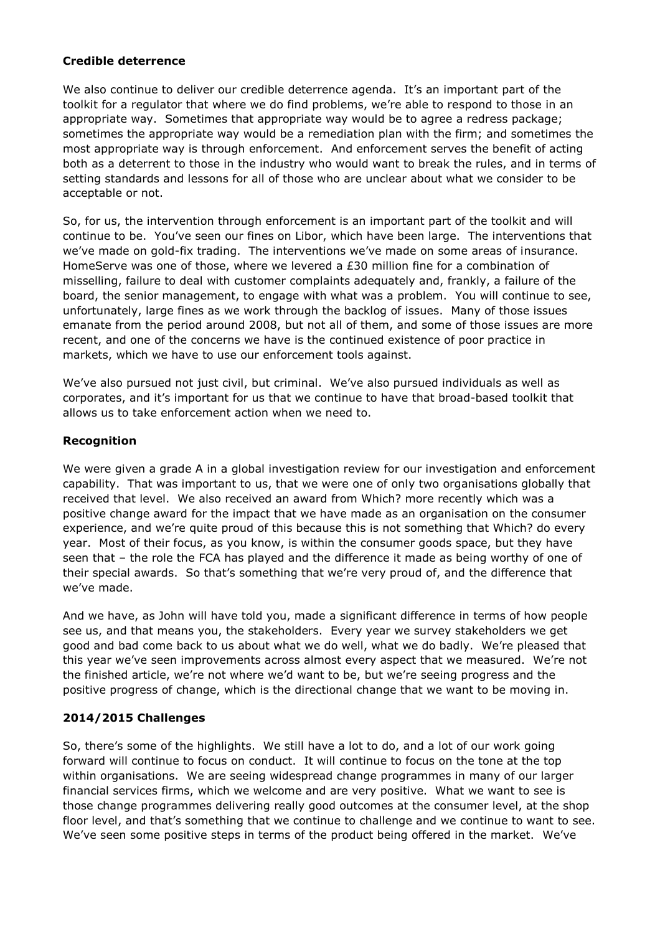#### **Credible deterrence**

We also continue to deliver our credible deterrence agenda. It's an important part of the toolkit for a regulator that where we do find problems, we're able to respond to those in an appropriate way. Sometimes that appropriate way would be to agree a redress package; sometimes the appropriate way would be a remediation plan with the firm; and sometimes the most appropriate way is through enforcement. And enforcement serves the benefit of acting both as a deterrent to those in the industry who would want to break the rules, and in terms of setting standards and lessons for all of those who are unclear about what we consider to be acceptable or not.

So, for us, the intervention through enforcement is an important part of the toolkit and will continue to be. You've seen our fines on Libor, which have been large. The interventions that we've made on gold-fix trading. The interventions we've made on some areas of insurance. HomeServe was one of those, where we levered a £30 million fine for a combination of misselling, failure to deal with customer complaints adequately and, frankly, a failure of the board, the senior management, to engage with what was a problem. You will continue to see, unfortunately, large fines as we work through the backlog of issues. Many of those issues emanate from the period around 2008, but not all of them, and some of those issues are more recent, and one of the concerns we have is the continued existence of poor practice in markets, which we have to use our enforcement tools against.

We've also pursued not just civil, but criminal. We've also pursued individuals as well as corporates, and it's important for us that we continue to have that broad-based toolkit that allows us to take enforcement action when we need to.

#### **Recognition**

We were given a grade A in a global investigation review for our investigation and enforcement capability. That was important to us, that we were one of only two organisations globally that received that level. We also received an award from Which? more recently which was a positive change award for the impact that we have made as an organisation on the consumer experience, and we're quite proud of this because this is not something that Which? do every year. Most of their focus, as you know, is within the consumer goods space, but they have seen that – the role the FCA has played and the difference it made as being worthy of one of their special awards. So that's something that we're very proud of, and the difference that we've made.

And we have, as John will have told you, made a significant difference in terms of how people see us, and that means you, the stakeholders. Every year we survey stakeholders we get good and bad come back to us about what we do well, what we do badly. We're pleased that this year we've seen improvements across almost every aspect that we measured. We're not the finished article, we're not where we'd want to be, but we're seeing progress and the positive progress of change, which is the directional change that we want to be moving in.

#### **2014/2015 Challenges**

So, there's some of the highlights. We still have a lot to do, and a lot of our work going forward will continue to focus on conduct. It will continue to focus on the tone at the top within organisations. We are seeing widespread change programmes in many of our larger financial services firms, which we welcome and are very positive. What we want to see is those change programmes delivering really good outcomes at the consumer level, at the shop floor level, and that's something that we continue to challenge and we continue to want to see. We've seen some positive steps in terms of the product being offered in the market. We've